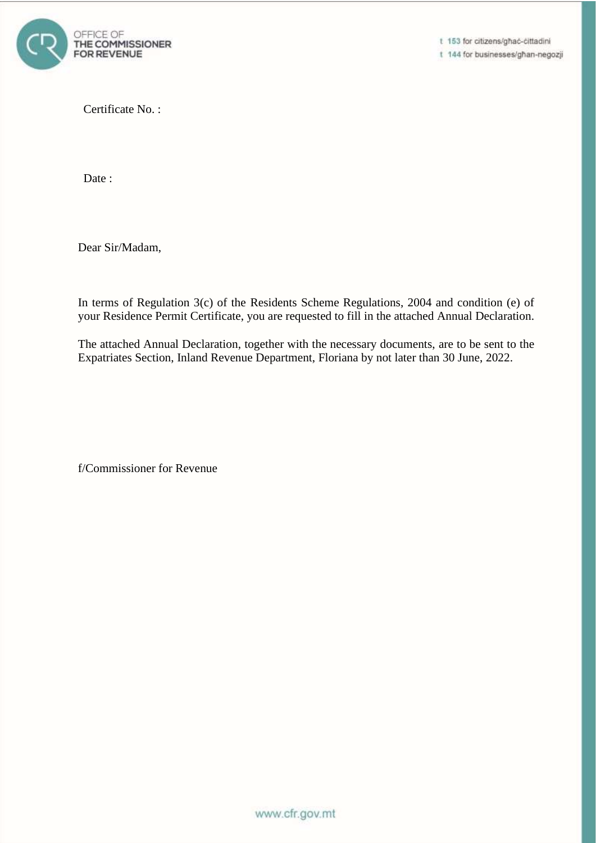

t 153 for citizens/ghac-cittadini t 144 for businesses/ghan-negozji

Certificate No. :

Date :

Dear Sir/Madam,

In terms of Regulation 3(c) of the Residents Scheme Regulations, 2004 and condition (e) of your Residence Permit Certificate, you are requested to fill in the attached Annual Declaration.

The attached Annual Declaration, together with the necessary documents, are to be sent to the Expatriates Section, Inland Revenue Department, Floriana by not later than 30 June, 2022.

f/Commissioner for Revenue

www.cfr.gov.mt